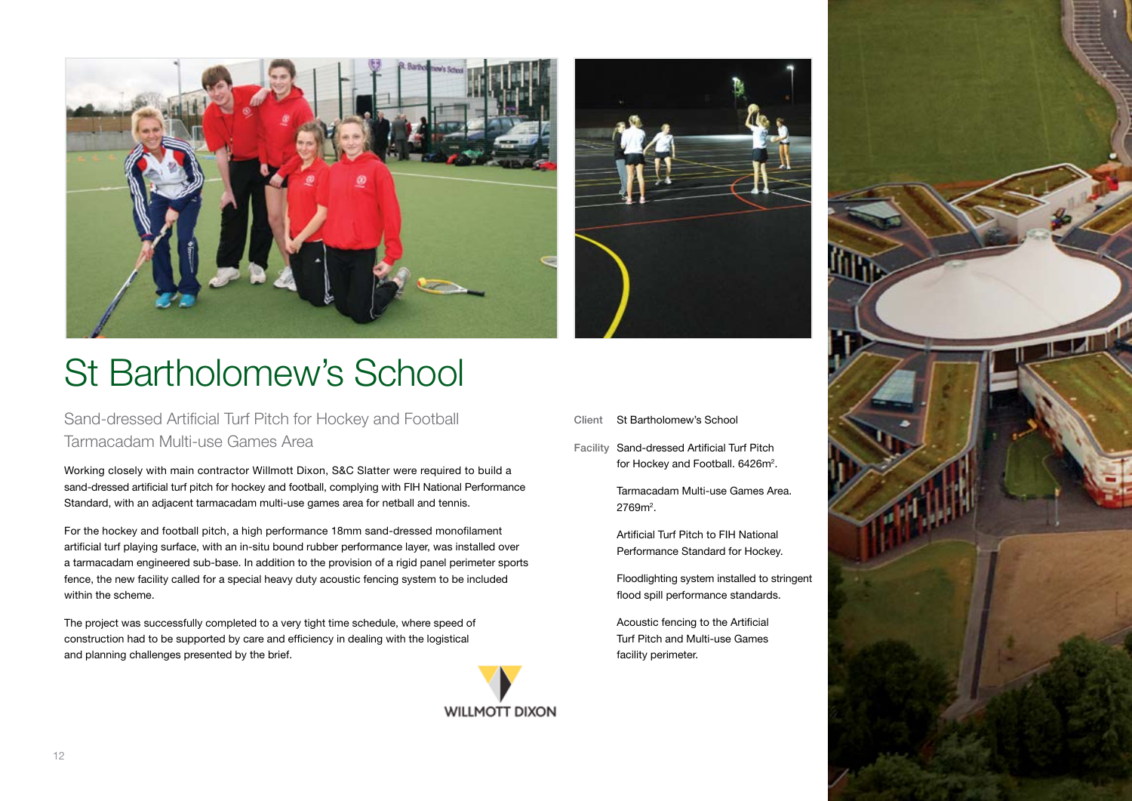

## St Bartholomew's School

Sand-dressed Artificial Turf Pitch for Hockey and Football Tarmacadam Multi-use Games Area

Working closely with main contractor Willmott Dixon, S&C Slatter were required to build a sand-dressed artificial turf pitch for hockey and football, complying with FIH National Performance Standard, with an adjacent tarmacadam multi-use games area for netball and tennis.

For the hockey and football pitch, a high performance 18mm sand-dressed monofilament artificial turf playing surface, with an in-situ bound rubber performance layer, was installed over a tarmacadam engineered sub-base. In addition to the provision of a rigid panel perimeter sports fence, the new facility called for a special heavy duty acoustic fencing system to be included within the scheme.

The project was successfully completed to a very tight time schedule, where speed of construction had to be supported by care and efficiency in dealing with the logistical and planning challenges presented by the brief.





- St Bartholomew's School **Client**
- Sand-dressed Artificial Turf Pitch for Hockey and Football. 6426m<sup>2</sup>. Facility

Tarmacadam Multi-use Games Area. 2769m².

Artificial Turf Pitch to FIH National Performance Standard for Hockey.

Floodlighting system installed to stringent flood spill performance standards.

Acoustic fencing to the Artificial Turf Pitch and Multi-use Games facility perimeter.